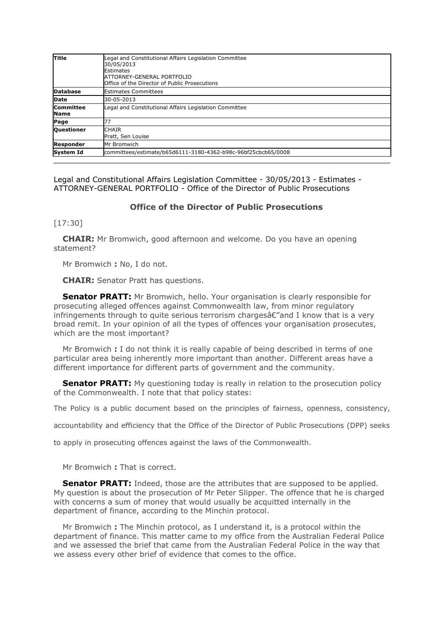| Title                           | Legal and Constitutional Affairs Legislation Committee<br>30/05/2013<br>Estimates<br><b>ATTORNEY-GENERAL PORTFOLIO</b><br>Office of the Director of Public Prosecutions |
|---------------------------------|-------------------------------------------------------------------------------------------------------------------------------------------------------------------------|
| <b>Database</b>                 | <b>IEstimates Committees</b>                                                                                                                                            |
| <b>Date</b>                     | 30-05-2013                                                                                                                                                              |
| <b>Committee</b><br><b>Name</b> | Legal and Constitutional Affairs Legislation Committee                                                                                                                  |
| Page                            | 77                                                                                                                                                                      |
| <b>Questioner</b>               | <b>CHAIR</b><br>Pratt, Sen Louise                                                                                                                                       |
| <b>Responder</b>                | Mr Bromwich                                                                                                                                                             |
| System Id                       | committees/estimate/b65d6111-3180-4362-b98c-96bf25cbcb65/0008                                                                                                           |

Legal and Constitutional Affairs Legislation Committee - 30/05/2013 - Estimates - ATTORNEY-GENERAL PORTFOLIO - Office of the Director of Public Prosecutions

## **Office of the Director of Public Prosecutions**

## [17:30]

**CHAIR:** Mr Bromwich, good afternoon and welcome. Do you have an opening statement?

Mr Bromwich **:** No, I do not.

**CHAIR:** Senator Pratt has questions.

**[Senator PRATT:](http://parlinfo.aph.gov.au/parlInfo/search/display/display.w3p;query=Id%3A%22handbook%2Fallmps%2FI0T%22;querytype=;rec=0)** Mr Bromwich, hello. Your organisation is clearly responsible for prosecuting alleged offences against Commonwealth law, from minor regulatory infringements through to quite serious terrorism charges  $E''$  and I know that is a very broad remit. In your opinion of all the types of offences your organisation prosecutes, which are the most important?

Mr Bromwich **:** I do not think it is really capable of being described in terms of one particular area being inherently more important than another. Different areas have a different importance for different parts of government and the community.

**[Senator PRATT:](http://parlinfo.aph.gov.au/parlInfo/search/display/display.w3p;query=Id%3A%22handbook%2Fallmps%2FI0T%22;querytype=;rec=0)** My questioning today is really in relation to the prosecution policy of the Commonwealth. I note that that policy states:

The Policy is a public document based on the principles of fairness, openness, consistency,

accountability and efficiency that the Office of the Director of Public Prosecutions (DPP) seeks

to apply in prosecuting offences against the laws of the Commonwealth.

Mr Bromwich **:** That is correct.

**[Senator PRATT:](http://parlinfo.aph.gov.au/parlInfo/search/display/display.w3p;query=Id%3A%22handbook%2Fallmps%2FI0T%22;querytype=;rec=0)** Indeed, those are the attributes that are supposed to be applied. My question is about the prosecution of Mr Peter Slipper. The offence that he is charged with concerns a sum of money that would usually be acquitted internally in the department of finance, according to the Minchin protocol.

Mr Bromwich **:** The Minchin protocol, as I understand it, is a protocol within the department of finance. This matter came to my office from the Australian Federal Police and we assessed the brief that came from the Australian Federal Police in the way that we assess every other brief of evidence that comes to the office.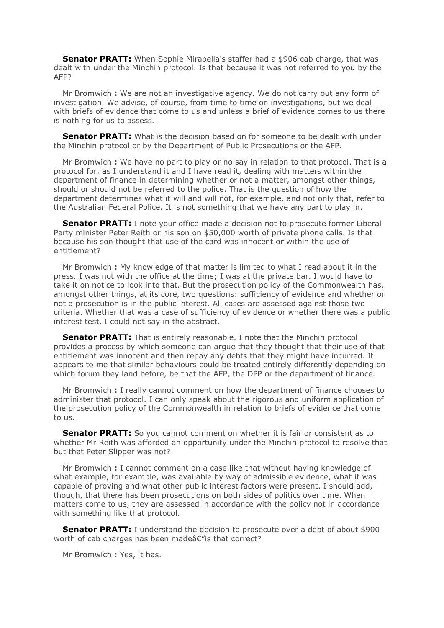**[Senator PRATT:](http://parlinfo.aph.gov.au/parlInfo/search/display/display.w3p;query=Id%3A%22handbook%2Fallmps%2FI0T%22;querytype=;rec=0)** When Sophie Mirabella's staffer had a \$906 cab charge, that was dealt with under the Minchin protocol. Is that because it was not referred to you by the AFP?

Mr Bromwich **:** We are not an investigative agency. We do not carry out any form of investigation. We advise, of course, from time to time on investigations, but we deal with briefs of evidence that come to us and unless a brief of evidence comes to us there is nothing for us to assess.

**[Senator PRATT:](http://parlinfo.aph.gov.au/parlInfo/search/display/display.w3p;query=Id%3A%22handbook%2Fallmps%2FI0T%22;querytype=;rec=0)** What is the decision based on for someone to be dealt with under the Minchin protocol or by the Department of Public Prosecutions or the AFP.

Mr Bromwich **:** We have no part to play or no say in relation to that protocol. That is a protocol for, as I understand it and I have read it, dealing with matters within the department of finance in determining whether or not a matter, amongst other things, should or should not be referred to the police. That is the question of how the department determines what it will and will not, for example, and not only that, refer to the Australian Federal Police. It is not something that we have any part to play in.

**[Senator PRATT:](http://parlinfo.aph.gov.au/parlInfo/search/display/display.w3p;query=Id%3A%22handbook%2Fallmps%2FI0T%22;querytype=;rec=0)** I note your office made a decision not to prosecute former Liberal Party minister Peter Reith or his son on \$50,000 worth of private phone calls. Is that because his son thought that use of the card was innocent or within the use of entitlement?

Mr Bromwich **:** My knowledge of that matter is limited to what I read about it in the press. I was not with the office at the time; I was at the private bar. I would have to take it on notice to look into that. But the prosecution policy of the Commonwealth has, amongst other things, at its core, two questions: sufficiency of evidence and whether or not a prosecution is in the public interest. All cases are assessed against those two criteria. Whether that was a case of sufficiency of evidence or whether there was a public interest test, I could not say in the abstract.

**[Senator PRATT:](http://parlinfo.aph.gov.au/parlInfo/search/display/display.w3p;query=Id%3A%22handbook%2Fallmps%2FI0T%22;querytype=;rec=0)** That is entirely reasonable. I note that the Minchin protocol provides a process by which someone can argue that they thought that their use of that entitlement was innocent and then repay any debts that they might have incurred. It appears to me that similar behaviours could be treated entirely differently depending on which forum they land before, be that the AFP, the DPP or the department of finance.

Mr Bromwich **:** I really cannot comment on how the department of finance chooses to administer that protocol. I can only speak about the rigorous and uniform application of the prosecution policy of the Commonwealth in relation to briefs of evidence that come to us.

**[Senator PRATT:](http://parlinfo.aph.gov.au/parlInfo/search/display/display.w3p;query=Id%3A%22handbook%2Fallmps%2FI0T%22;querytype=;rec=0)** So you cannot comment on whether it is fair or consistent as to whether Mr Reith was afforded an opportunity under the Minchin protocol to resolve that but that Peter Slipper was not?

Mr Bromwich **:** I cannot comment on a case like that without having knowledge of what example, for example, was available by way of admissible evidence, what it was capable of proving and what other public interest factors were present. I should add, though, that there has been prosecutions on both sides of politics over time. When matters come to us, they are assessed in accordance with the policy not in accordance with something like that protocol.

**[Senator PRATT:](http://parlinfo.aph.gov.au/parlInfo/search/display/display.w3p;query=Id%3A%22handbook%2Fallmps%2FI0T%22;querytype=;rec=0)** I understand the decision to prosecute over a debt of about \$900 worth of cab charges has been made $\hat{a}\epsilon$ " is that correct?

Mr Bromwich **:** Yes, it has.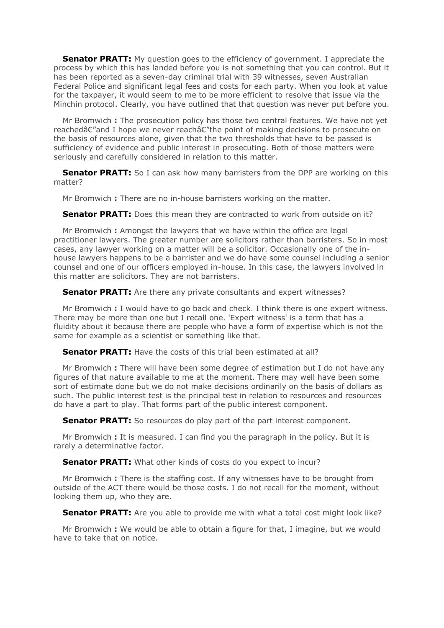**[Senator PRATT:](http://parlinfo.aph.gov.au/parlInfo/search/display/display.w3p;query=Id%3A%22handbook%2Fallmps%2FI0T%22;querytype=;rec=0)** My question goes to the efficiency of government. I appreciate the process by which this has landed before you is not something that you can control. But it has been reported as a seven-day criminal trial with 39 witnesses, seven Australian Federal Police and significant legal fees and costs for each party. When you look at value for the taxpayer, it would seem to me to be more efficient to resolve that issue via the Minchin protocol. Clearly, you have outlined that that question was never put before you.

Mr Bromwich **:** The prosecution policy has those two central features. We have not yet reached $\hat{\epsilon}$ "and I hope we never reach $\hat{\epsilon}$ "the point of making decisions to prosecute on the basis of resources alone, given that the two thresholds that have to be passed is sufficiency of evidence and public interest in prosecuting. Both of those matters were seriously and carefully considered in relation to this matter.

**[Senator PRATT:](http://parlinfo.aph.gov.au/parlInfo/search/display/display.w3p;query=Id%3A%22handbook%2Fallmps%2FI0T%22;querytype=;rec=0)** So I can ask how many barristers from the DPP are working on this matter?

Mr Bromwich **:** There are no in-house barristers working on the matter.

**[Senator PRATT:](http://parlinfo.aph.gov.au/parlInfo/search/display/display.w3p;query=Id%3A%22handbook%2Fallmps%2FI0T%22;querytype=;rec=0)** Does this mean they are contracted to work from outside on it?

Mr Bromwich **:** Amongst the lawyers that we have within the office are legal practitioner lawyers. The greater number are solicitors rather than barristers. So in most cases, any lawyer working on a matter will be a solicitor. Occasionally one of the inhouse lawyers happens to be a barrister and we do have some counsel including a senior counsel and one of our officers employed in-house. In this case, the lawyers involved in this matter are solicitors. They are not barristers.

**[Senator PRATT:](http://parlinfo.aph.gov.au/parlInfo/search/display/display.w3p;query=Id%3A%22handbook%2Fallmps%2FI0T%22;querytype=;rec=0)** Are there any private consultants and expert witnesses?

Mr Bromwich **:** I would have to go back and check. I think there is one expert witness. There may be more than one but I recall one. 'Expert witness' is a term that has a fluidity about it because there are people who have a form of expertise which is not the same for example as a scientist or something like that.

**[Senator PRATT:](http://parlinfo.aph.gov.au/parlInfo/search/display/display.w3p;query=Id%3A%22handbook%2Fallmps%2FI0T%22;querytype=;rec=0)** Have the costs of this trial been estimated at all?

Mr Bromwich **:** There will have been some degree of estimation but I do not have any figures of that nature available to me at the moment. There may well have been some sort of estimate done but we do not make decisions ordinarily on the basis of dollars as such. The public interest test is the principal test in relation to resources and resources do have a part to play. That forms part of the public interest component.

**[Senator PRATT:](http://parlinfo.aph.gov.au/parlInfo/search/display/display.w3p;query=Id%3A%22handbook%2Fallmps%2FI0T%22;querytype=;rec=0)** So resources do play part of the part interest component.

Mr Bromwich **:** It is measured. I can find you the paragraph in the policy. But it is rarely a determinative factor.

**[Senator PRATT:](http://parlinfo.aph.gov.au/parlInfo/search/display/display.w3p;query=Id%3A%22handbook%2Fallmps%2FI0T%22;querytype=;rec=0)** What other kinds of costs do you expect to incur?

Mr Bromwich **:** There is the staffing cost. If any witnesses have to be brought from outside of the ACT there would be those costs. I do not recall for the moment, without looking them up, who they are.

**[Senator PRATT:](http://parlinfo.aph.gov.au/parlInfo/search/display/display.w3p;query=Id%3A%22handbook%2Fallmps%2FI0T%22;querytype=;rec=0)** Are you able to provide me with what a total cost might look like?

Mr Bromwich **:** We would be able to obtain a figure for that, I imagine, but we would have to take that on notice.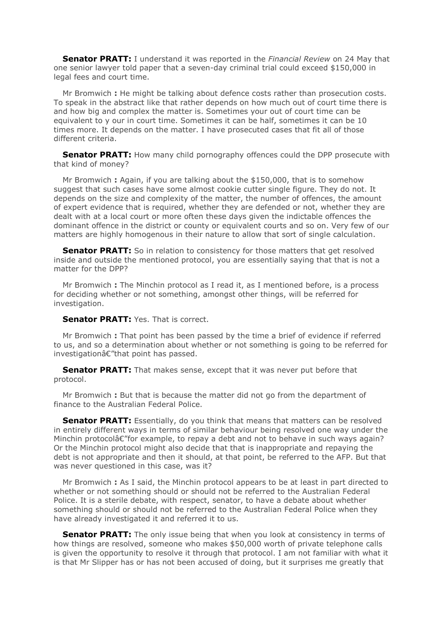**[Senator PRATT:](http://parlinfo.aph.gov.au/parlInfo/search/display/display.w3p;query=Id%3A%22handbook%2Fallmps%2FI0T%22;querytype=;rec=0)** I understand it was reported in the *Financial Review* on 24 May that one senior lawyer told paper that a seven-day criminal trial could exceed \$150,000 in legal fees and court time.

Mr Bromwich **:** He might be talking about defence costs rather than prosecution costs. To speak in the abstract like that rather depends on how much out of court time there is and how big and complex the matter is. Sometimes your out of court time can be equivalent to y our in court time. Sometimes it can be half, sometimes it can be 10 times more. It depends on the matter. I have prosecuted cases that fit all of those different criteria.

**[Senator PRATT:](http://parlinfo.aph.gov.au/parlInfo/search/display/display.w3p;query=Id%3A%22handbook%2Fallmps%2FI0T%22;querytype=;rec=0)** How many child pornography offences could the DPP prosecute with that kind of money?

Mr Bromwich **:** Again, if you are talking about the \$150,000, that is to somehow suggest that such cases have some almost cookie cutter single figure. They do not. It depends on the size and complexity of the matter, the number of offences, the amount of expert evidence that is required, whether they are defended or not, whether they are dealt with at a local court or more often these days given the indictable offences the dominant offence in the district or county or equivalent courts and so on. Very few of our matters are highly homogenous in their nature to allow that sort of single calculation.

**[Senator PRATT:](http://parlinfo.aph.gov.au/parlInfo/search/display/display.w3p;query=Id%3A%22handbook%2Fallmps%2FI0T%22;querytype=;rec=0)** So in relation to consistency for those matters that get resolved inside and outside the mentioned protocol, you are essentially saying that that is not a matter for the DPP?

Mr Bromwich **:** The Minchin protocol as I read it, as I mentioned before, is a process for deciding whether or not something, amongst other things, will be referred for investigation.

## **[Senator PRATT:](http://parlinfo.aph.gov.au/parlInfo/search/display/display.w3p;query=Id%3A%22handbook%2Fallmps%2FI0T%22;querytype=;rec=0)** Yes. That is correct.

Mr Bromwich **:** That point has been passed by the time a brief of evidence if referred to us, and so a determination about whether or not something is going to be referred for  $investigation \hat{\alpha} \in$ "that point has passed.

**[Senator PRATT:](http://parlinfo.aph.gov.au/parlInfo/search/display/display.w3p;query=Id%3A%22handbook%2Fallmps%2FI0T%22;querytype=;rec=0)** That makes sense, except that it was never put before that protocol.

Mr Bromwich **:** But that is because the matter did not go from the department of finance to the Australian Federal Police.

**[Senator PRATT:](http://parlinfo.aph.gov.au/parlInfo/search/display/display.w3p;query=Id%3A%22handbook%2Fallmps%2FI0T%22;querytype=;rec=0)** Essentially, do you think that means that matters can be resolved in entirely different ways in terms of similar behaviour being resolved one way under the Minchin protocolâ $\epsilon$ "for example, to repay a debt and not to behave in such ways again? Or the Minchin protocol might also decide that that is inappropriate and repaying the debt is not appropriate and then it should, at that point, be referred to the AFP. But that was never questioned in this case, was it?

Mr Bromwich **:** As I said, the Minchin protocol appears to be at least in part directed to whether or not something should or should not be referred to the Australian Federal Police. It is a sterile debate, with respect, senator, to have a debate about whether something should or should not be referred to the Australian Federal Police when they have already investigated it and referred it to us.

**[Senator PRATT:](http://parlinfo.aph.gov.au/parlInfo/search/display/display.w3p;query=Id%3A%22handbook%2Fallmps%2FI0T%22;querytype=;rec=0)** The only issue being that when you look at consistency in terms of how things are resolved, someone who makes \$50,000 worth of private telephone calls is given the opportunity to resolve it through that protocol. I am not familiar with what it is that Mr Slipper has or has not been accused of doing, but it surprises me greatly that